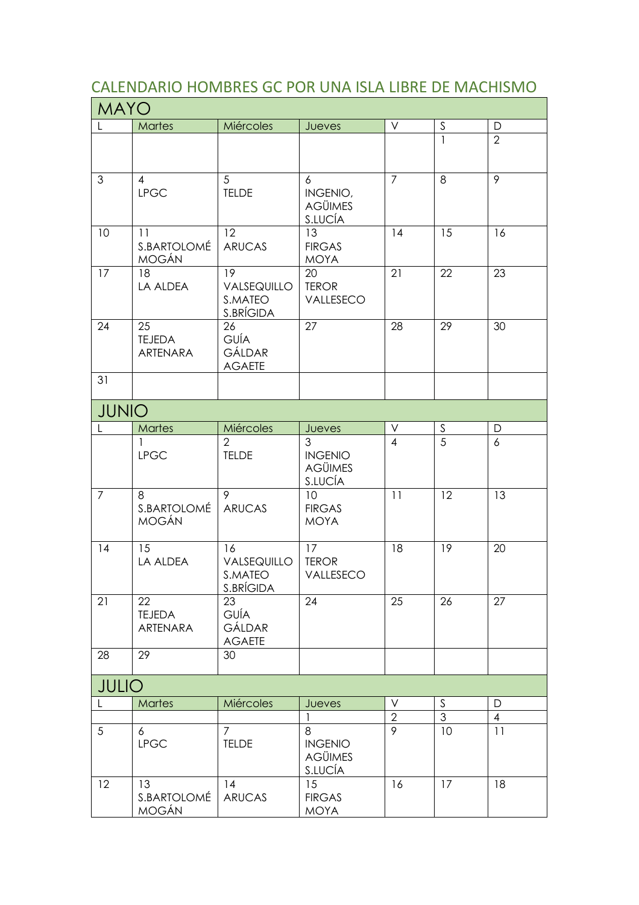## CALENDARIO HOMBRES GC POR UNA ISLA LIBRE DE MACHISMO

| <b>MAYO</b>    |                                        |                                                    |                                                  |                |                |                  |  |  |  |
|----------------|----------------------------------------|----------------------------------------------------|--------------------------------------------------|----------------|----------------|------------------|--|--|--|
| L              | <b>Martes</b>                          | Miércoles                                          | Jueves                                           | $\vee$         | $\mathsf S$    | D                |  |  |  |
|                |                                        |                                                    |                                                  |                | $\mathbf{1}$   | $\overline{2}$   |  |  |  |
| 3              | 4<br><b>LPGC</b>                       | $\sqrt{5}$<br><b>TELDE</b>                         | 6<br>INGENIO,<br><b>AGÜIMES</b><br>S.LUCÍA       | $\overline{7}$ | 8              | $\overline{9}$   |  |  |  |
| 10             | 11<br>S.BARTOLOMÉ<br><b>MOGÁN</b>      | 12<br><b>ARUCAS</b>                                | 13<br><b>FIRGAS</b><br><b>MOYA</b>               | 14             | 15             | 16               |  |  |  |
| 17             | 18<br>LA ALDEA                         | 19<br>VALSEQUILLO<br>S.MATEO<br>S.BRÍGIDA          | 20<br><b>TEROR</b><br>VALLESECO                  | 21             | 22             | 23               |  |  |  |
| 24             | 25<br><b>TEJEDA</b><br><b>ARTENARA</b> | 26<br>GUÍA<br><b>GÁLDAR</b><br><b>AGAETE</b>       | 27                                               | 28             | 29             | 30               |  |  |  |
| 31             |                                        |                                                    |                                                  |                |                |                  |  |  |  |
| <b>JUNIO</b>   |                                        |                                                    |                                                  |                |                |                  |  |  |  |
|                | <b>Martes</b>                          | Miércoles                                          | Jueves                                           | V              | $\mathsf S$    | D                |  |  |  |
|                | 1<br><b>LPGC</b>                       | $\overline{2}$<br><b>TELDE</b>                     | 3<br><b>INGENIO</b><br><b>AGÜIMES</b><br>S.LUCÍA | $\overline{4}$ | 5              | $\boldsymbol{6}$ |  |  |  |
| $\overline{7}$ | 8<br>S.BARTOLOMÉ<br><b>MOGÁN</b>       | 9<br><b>ARUCAS</b>                                 | 10<br><b>FIRGAS</b><br><b>MOYA</b>               | 11             | 12             | 13               |  |  |  |
| 14             | 15<br>LA ALDEA                         | 16<br>VALSEQUILLO<br>S.MATEO<br>S.BRÍGIDA          | 17<br><b>TEROR</b><br>VALLESECO                  | 18             | 19             | 20               |  |  |  |
| 21             | 22<br><b>TEJEDA</b><br>ARTENARA        | $\overline{23}$<br>GUÍA<br>GÁLDAR<br><b>AGAETE</b> | 24                                               | 25             | 26             | 27               |  |  |  |
| 28             | 29                                     | 30                                                 |                                                  |                |                |                  |  |  |  |
| <b>JULIO</b>   |                                        |                                                    |                                                  |                |                |                  |  |  |  |
|                | <b>Martes</b>                          | Miércoles                                          | Jueves                                           | ٧              | $\mathsf S$    | $\mathsf D$      |  |  |  |
|                |                                        |                                                    |                                                  | $\overline{2}$ | $\mathfrak{S}$ | $\overline{4}$   |  |  |  |
| 5              | 6<br><b>LPGC</b>                       | $\overline{7}$<br><b>TELDE</b>                     | 8<br><b>INGENIO</b><br><b>AGÜIMES</b><br>S.LUCÍA | 9              | 10             | 11               |  |  |  |
| 12             | 13<br>S.BARTOLOMÉ<br>MOGÁN             | 14<br><b>ARUCAS</b>                                | 15<br><b>FIRGAS</b><br><b>MOYA</b>               | 16             | 17             | 18               |  |  |  |